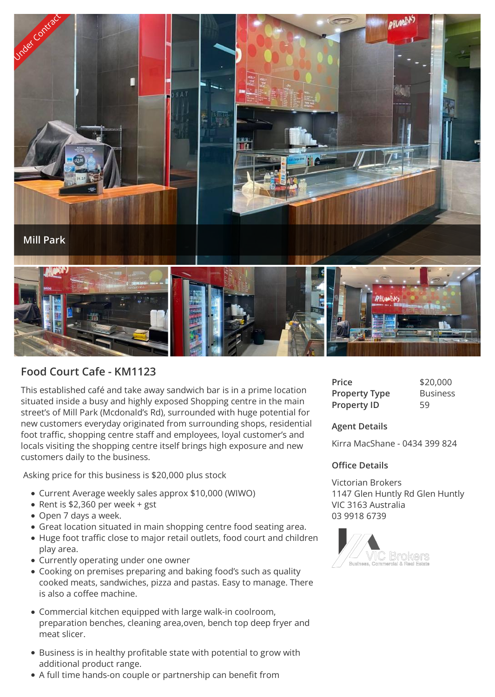

## **Food Court Cafe - KM1123**

This established café and take away sandwich bar is in a prime location situated inside a busy and highly exposed Shopping centre in the main street's of Mill Park (Mcdonald's Rd), surrounded with huge potential for new customers everyday originated from surrounding shops, residential foot traffic, shopping centre staff and employees, loyal customer's and locals visiting the shopping centre itself brings high exposure and new customers daily to the business.

Asking price for this business is \$20,000 plus stock

- Current Average weekly sales approx \$10,000 (WIWO)
- Rent is  $$2,360$  per week + gst
- Open 7 days a week.
- Great location situated in main shopping centre food seating area.
- Huge foot traffic close to major retail outlets, food court and children play area.
- Currently operating under one owner
- Cooking on premises preparing and baking food's such as quality cooked meats, sandwiches, pizza and pastas. Easy to manage. There is also a coffee machine.
- Commercial kitchen equipped with large walk-in coolroom, preparation benches, cleaning area,oven, bench top deep fryer and meat slicer.
- Business is in healthy profitable state with potential to grow with additional product range.
- A full time hands-on couple or partnership can benefit from

| Price                | \$20,000        |
|----------------------|-----------------|
| <b>Property Type</b> | <b>Business</b> |
| <b>Property ID</b>   | 59              |

**Agent Details**

Kirra MacShane - 0434 399 824

## **Office Details**

Victorian Brokers 1147 Glen Huntly Rd Glen Huntly VIC 3163 Australia 03 9918 6739